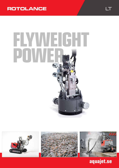# **ROTOLANCE**

# **FLYWEIGHT** POWE







LT

aquajet.se